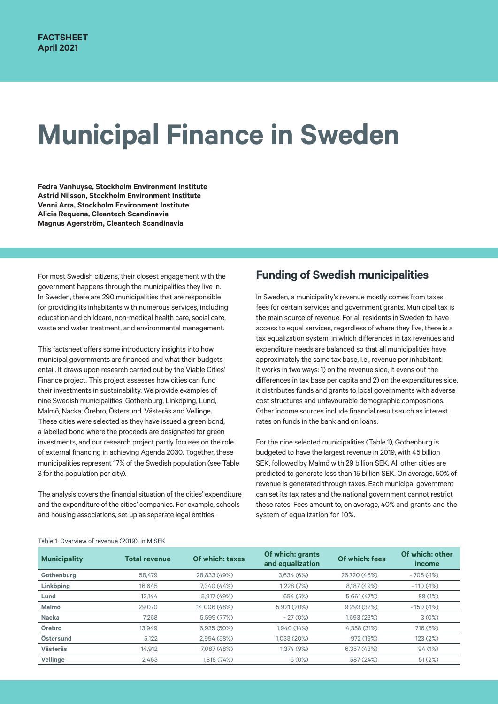# **Municipal Finance in Sweden**

**Fedra Vanhuyse, Stockholm Environment Institute Astrid Nilsson, Stockholm Environment Institute Venni Arra, Stockholm Environment Institute Alicia Requena, Cleantech Scandinavia Magnus Agerström, Cleantech Scandinavia**

For most Swedish citizens, their closest engagement with the government happens through the municipalities they live in. In Sweden, there are 290 municipalities that are responsible for providing its inhabitants with numerous services, including education and childcare, non-medical health care, social care, waste and water treatment, and environmental management.

This factsheet offers some introductory insights into how municipal governments are financed and what their budgets entail. It draws upon research carried out by the Viable Cities' Finance project. This project assesses how cities can fund their investments in sustainability. We provide examples of nine Swedish municipalities: Gothenburg, Linköping, Lund, Malmö, Nacka, Örebro, Östersund, Västerås and Vellinge. These cities were selected as they have issued a green bond, a labelled bond where the proceeds are designated for green investments, and our research project partly focuses on the role of external financing in achieving Agenda 2030. Together, these municipalities represent 17% of the Swedish population (see Table 3 for the population per city).

The analysis covers the financial situation of the cities' expenditure and the expenditure of the cities' companies. For example, schools and housing associations, set up as separate legal entities.

## **Funding of Swedish municipalities**

In Sweden, a municipality's revenue mostly comes from taxes, fees for certain services and government grants. Municipal tax is the main source of revenue. For all residents in Sweden to have access to equal services, regardless of where they live, there is a tax equalization system, in which differences in tax revenues and expenditure needs are balanced so that all municipalities have approximately the same tax base, I.e., revenue per inhabitant. It works in two ways: 1) on the revenue side, it evens out the differences in tax base per capita and 2) on the expenditures side, it distributes funds and grants to local governments with adverse cost structures and unfavourable demographic compositions. Other income sources include financial results such as interest rates on funds in the bank and on loans.

For the nine selected municipalities (Table 1), Gothenburg is budgeted to have the largest revenue in 2019, with 45 billion SEK, followed by Malmö with 29 billion SEK. All other cities are predicted to generate less than 15 billion SEK. On average, 50% of revenue is generated through taxes. Each municipal government can set its tax rates and the national government cannot restrict these rates. Fees amount to, on average, 40% and grants and the system of equalization for 10%.

| <b>Municipality</b> | <b>Total revenue</b> | Of which: taxes | Of which: grants<br>and equalization | Of which: fees | Of which: other<br>income |
|---------------------|----------------------|-----------------|--------------------------------------|----------------|---------------------------|
| Gothenburg          | 58,479               | 28,833 (49%)    | 3,634(6%)                            | 26,720 (46%)   | $-708(-1%)$               |
| Linköping           | 16.645               | 7.340 (44%)     | 1.228(7%)                            | 8,187 (49%)    | $-110(-1%)$               |
| Lund                | 12.144               | 5,917 (49%)     | 654 (5%)                             | 5 661 (47%)    | 88 (1%)                   |
| Malmö               | 29.070               | 14 006 (48%)    | 5 921 (20%)                          | 9 293 (32%)    | $-150$ ( $-1\%$ )         |
| <b>Nacka</b>        | 7.268                | 5.599 (77%)     | $-27(0%)$                            | 1.693 (23%)    | 3(0%)                     |
| Örebro              | 13.949               | 6.935(50%)      | 1.940 (14%)                          | 4.358 (31%)    | 716 (5%)                  |
| Östersund           | 5,122                | 2,994 (58%)     | 1,033 (20%)                          | 972 (19%)      | 123 (2%)                  |
| <b>Västerås</b>     | 14,912               | 7,087 (48%)     | 1,374 (9%)                           | 6,357(43%)     | 94(1%)                    |
| Vellinge            | 2,463                | 1,818 (74%)     | 6(0%)                                | 587 (24%)      | 51(2%)                    |

#### Table 1. Overview of revenue (2019), in M SEK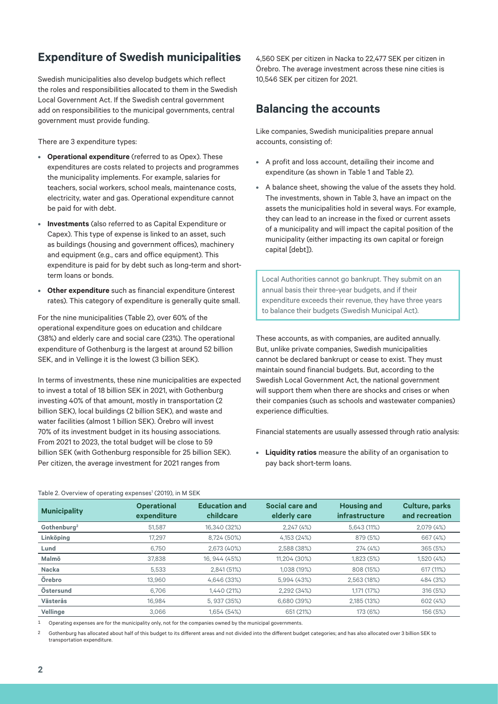# **Expenditure of Swedish municipalities**

Swedish municipalities also develop budgets which reflect the roles and responsibilities allocated to them in the Swedish Local Government Act. If the Swedish central government add on responsibilities to the municipal governments, central government must provide funding.

There are 3 expenditure types:

- **• Operational expenditure** (referred to as Opex). These expenditures are costs related to projects and programmes the municipality implements. For example, salaries for teachers, social workers, school meals, maintenance costs, electricity, water and gas. Operational expenditure cannot be paid for with debt.
- **• Investments** (also referred to as Capital Expenditure or Capex). This type of expense is linked to an asset, such as buildings (housing and government offices), machinery and equipment (e.g., cars and office equipment). This expenditure is paid for by debt such as long-term and shortterm loans or bonds.
- **• Other expenditure** such as financial expenditure (interest rates). This category of expenditure is generally quite small.

For the nine municipalities (Table 2), over 60% of the operational expenditure goes on education and childcare (38%) and elderly care and social care (23%). The operational expenditure of Gothenburg is the largest at around 52 billion SEK, and in Vellinge it is the lowest (3 billion SEK).

In terms of investments, these nine municipalities are expected to invest a total of 18 billion SEK in 2021, with Gothenburg investing 40% of that amount, mostly in transportation (2 billion SEK), local buildings (2 billion SEK), and waste and water facilities (almost 1 billion SEK). Örebro will invest 70% of its investment budget in its housing associations. From 2021 to 2023, the total budget will be close to 59 billion SEK (with Gothenburg responsible for 25 billion SEK). Per citizen, the average investment for 2021 ranges from

4,560 SEK per citizen in Nacka to 22,477 SEK per citizen in Örebro. The average investment across these nine cities is 10,546 SEK per citizen for 2021.

## **Balancing the accounts**

Like companies, Swedish municipalities prepare annual accounts, consisting of:

- **•** A profit and loss account, detailing their income and expenditure (as shown in Table 1 and Table 2).
- **•** A balance sheet, showing the value of the assets they hold. The investments, shown in Table 3, have an impact on the assets the municipalities hold in several ways. For example, they can lead to an increase in the fixed or current assets of a municipality and will impact the capital position of the municipality (either impacting its own capital or foreign capital [debt]).

Local Authorities cannot go bankrupt. They submit on an annual basis their three-year budgets, and if their expenditure exceeds their revenue, they have three years to balance their budgets (Swedish Municipal Act).

These accounts, as with companies, are audited annually. But, unlike private companies, Swedish municipalities cannot be declared bankrupt or cease to exist. They must maintain sound financial budgets. But, according to the Swedish Local Government Act, the national government will support them when there are shocks and crises or when their companies (such as schools and wastewater companies) experience difficulties.

Financial statements are usually assessed through ratio analysis:

**• Liquidity ratios** measure the ability of an organisation to pay back short-term loans.

| <b>Municipality</b>     | <b>Operational</b><br>expenditure | <b>Education and</b><br>childcare | Social care and<br>elderly care | <b>Housing and</b><br>infrastructure | <b>Culture, parks</b><br>and recreation |
|-------------------------|-----------------------------------|-----------------------------------|---------------------------------|--------------------------------------|-----------------------------------------|
| Gothenburg <sup>2</sup> | 51.587                            | 16.340 (32%)                      | 2,247(4%)                       | 5,643 (11%)                          | 2,079 (4%)                              |
| Linköping               | 17.297                            | 8,724 (50%)                       | 4,153 (24%)                     | 879 (5%)                             | 667 (4%)                                |
| Lund                    | 6.750                             | 2.673(40%)                        | 2,588 (38%)                     | 274(4%)                              | 365 (5%)                                |
| Malmö                   | 37.838                            | 16.944 (45%)                      | 11.204 (30%)                    | 1,823 (5%)                           | 1,520 (4%)                              |
| Nacka                   | 5,533                             | 2,841 (51%)                       | 1,038 (19%)                     | 808 (15%)                            | 617 (11%)                               |
| Örebro                  | 13.960                            | 4.646 (33%)                       | 5,994 (43%)                     | 2,563 (18%)                          | 484 (3%)                                |
| Östersund               | 6.706                             | 1,440 (21%)                       | 2,292 (34%)                     | 1,171 (17%)                          | 316 (5%)                                |
| Västerås                | 16.984                            | 5.937 (35%)                       | 6,680 (39%)                     | 2,185 (13%)                          | 602 (4%)                                |
| Vellinge                | 3.066                             | 1.654(54%)                        | 651 (21%)                       | 173 (6%)                             | 156 (5%)                                |

Table 2. Overview of operating expenses<sup>1</sup> (2019), in M SEK

1 Operating expenses are for the municipality only, not for the companies owned by the municipal governments.

2 Gothenburg has allocated about half of this budget to its different areas and not divided into the different budget categories; and has also allocated over 3 billion SEK to transportation expenditure.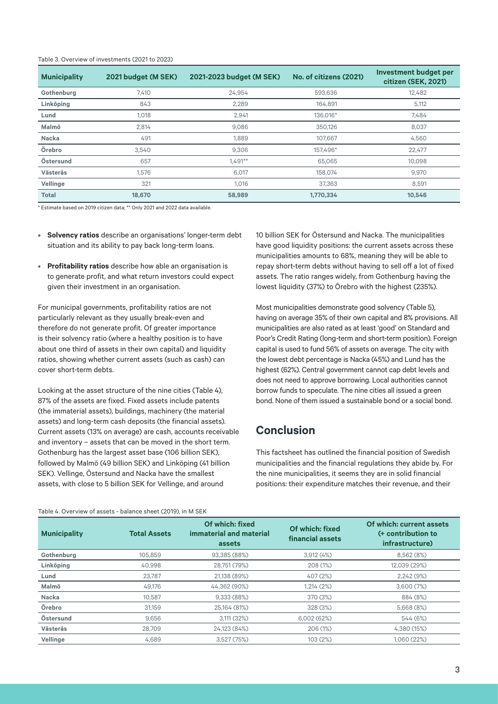| <b>Municipality</b> | 2021 budget (M SEK) | 2021-2023 budget (M SEK) | No. of citizens (2021) | <b>Investment budget per</b><br>citizen (SEK, 2021) |
|---------------------|---------------------|--------------------------|------------------------|-----------------------------------------------------|
| Gothenburg          | 7,410               | 24,954                   | 593,636                | 12.482                                              |
| Linköping           | 843                 | 2,289                    | 164,891                | 5,112                                               |
| Lund                | 1,018               | 2,941                    | 136,016*               | 7,484                                               |
| Malmö               | 2,814               | 9,086                    | 350.126                | 8,037                                               |
| Nacka               | 491                 | 1,889                    | 107.667                | 4,560                                               |
| Örebro              | 3.540               | 9.306                    | 157.496*               | 22,477                                              |
| Östersund           | 657                 | $1.491**$                | 65.065                 | 10.098                                              |
| <b>Västerås</b>     | 1.576               | 6,017                    | 158.074                | 9,970                                               |
| Vellinge            | 321                 | 1,016                    | 37,363                 | 8,591                                               |
| <b>Total</b>        | 18,670              | 58,989                   | 1,770,334              | 10,546                                              |

#### Table 3. Overview of investments (2021 to 2023)

\* Estimate based on 2019 citizen data; \*\* Only 2021 and 2022 data available.

- **• Solvency ratios** describe an organisations' longer-term debt situation and its ability to pay back long-term loans.
- **• Profitability ratios** describe how able an organisation is to generate profit, and what return investors could expect given their investment in an organisation.

For municipal governments, profitability ratios are not particularly relevant as they usually break-even and therefore do not generate profit. Of greater importance is their solvency ratio (where a healthy position is to have about one third of assets in their own capital) and liquidity ratios, showing whether current assets (such as cash) can cover short-term debts.

Looking at the asset structure of the nine cities (Table 4), 87% of the assets are fixed. Fixed assets include patents (the immaterial assets), buildings, machinery (the material assets) and long-term cash deposits (the financial assets). Current assets (13% on average) are cash, accounts receivable and inventory – assets that can be moved in the short term. Gothenburg has the largest asset base (106 billion SEK), followed by Malmö (49 billion SEK) and Linköping (41 billion SEK). Vellinge, Östersund and Nacka have the smallest assets, with close to 5 billion SEK for Vellinge, and around

10 billion SEK for Östersund and Nacka. The municipalities have good liquidity positions: the current assets across these municipalities amounts to 68%, meaning they will be able to repay short-term debts without having to sell off a lot of fixed assets. The ratio ranges widely, from Gothenburg having the lowest liquidity (37%) to Örebro with the highest (235%).

Most municipalities demonstrate good solvency (Table 5), having on average 35% of their own capital and 8% provisions. All municipalities are also rated as at least 'good' on Standard and Poor's Credit Rating (long-term and short-term position). Foreign capital is used to fund 56% of assets on average. The city with the lowest debt percentage is Nacka (45%) and Lund has the highest (62%). Central government cannot cap debt levels and does not need to approve borrowing. Local authorities cannot borrow funds to speculate. The nine cities all issued a green bond. None of them issued a sustainable bond or a social bond.

## **Conclusion**

This factsheet has outlined the financial position of Swedish municipalities and the financial regulations they abide by. For the nine municipalities, it seems they are in solid financial positions: their expenditure matches their revenue, and their

Table 4. Overview of assets - balance sheet (2019), in M SEK

| <b>Municipality</b> | <b>Total Assets</b> | Of which: fixed<br>immaterial and material<br>assets | Of which: fixed<br>financial assets | Of which: current assets<br>(+ contribution to<br>infrastructure) |
|---------------------|---------------------|------------------------------------------------------|-------------------------------------|-------------------------------------------------------------------|
| Gothenburg          | 105.859             | 93.385 (88%)                                         | 3,912(4%)                           | 8,562 (8%)                                                        |
| Linköping           | 40.998              | 28.751 (79%)                                         | 208 (1%)                            | 12.039 (29%)                                                      |
| Lund                | 23.787              | 21,138 (89%)                                         | 407 (2%)                            | 2,242(9%)                                                         |
| Malmö               | 49.176              | 44.362 (90%)                                         | 1,214(2%)                           | 3,600(7%)                                                         |
| Nacka               | 10.587              | 9,333 (88%)                                          | 370 (3%)                            | 884 (8%)                                                          |
| Örebro              | 31.159              | 25,164 (81%)                                         | 328 (3%)                            | 5,668 (8%)                                                        |
| Östersund           | 9,656               | 3,111 (32%)                                          | 6,002 (62%)                         | 544 (6%)                                                          |
| <b>Västerås</b>     | 28.709              | 24.123 (84%)                                         | 206 (1%)                            | 4.380 (15%)                                                       |
| Vellinge            | 4,689               | 3,527(75%)                                           | 103 (2%)                            | 1,060 (22%)                                                       |